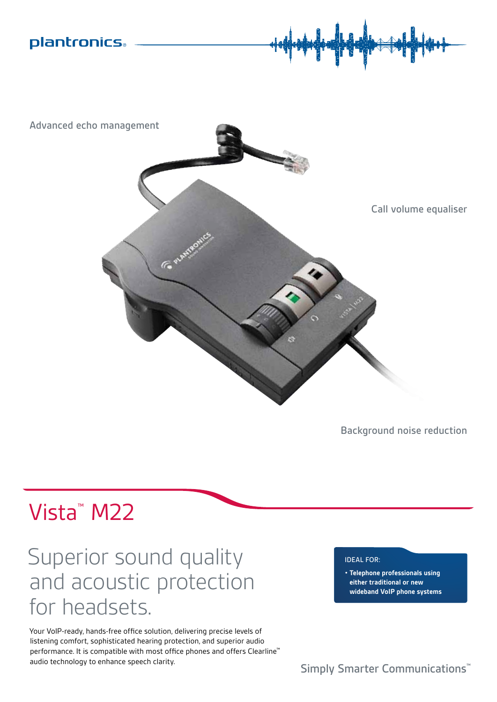



S

Background noise reduction

# Vista™ M22

# Superior sound quality and acoustic protection for headsets.

Your VoIP-ready, hands-free office solution, delivering precise levels of listening comfort, sophisticated hearing protection, and superior audio performance. It is compatible with most office phones and offers Clearline<sup>™</sup> audio technology to enhance speech clarity.

### Ideal For:

**• Telephone professionals using either traditional or new wideband VoIP phone systems**

Simply Smarter Communications<sup>™</sup>